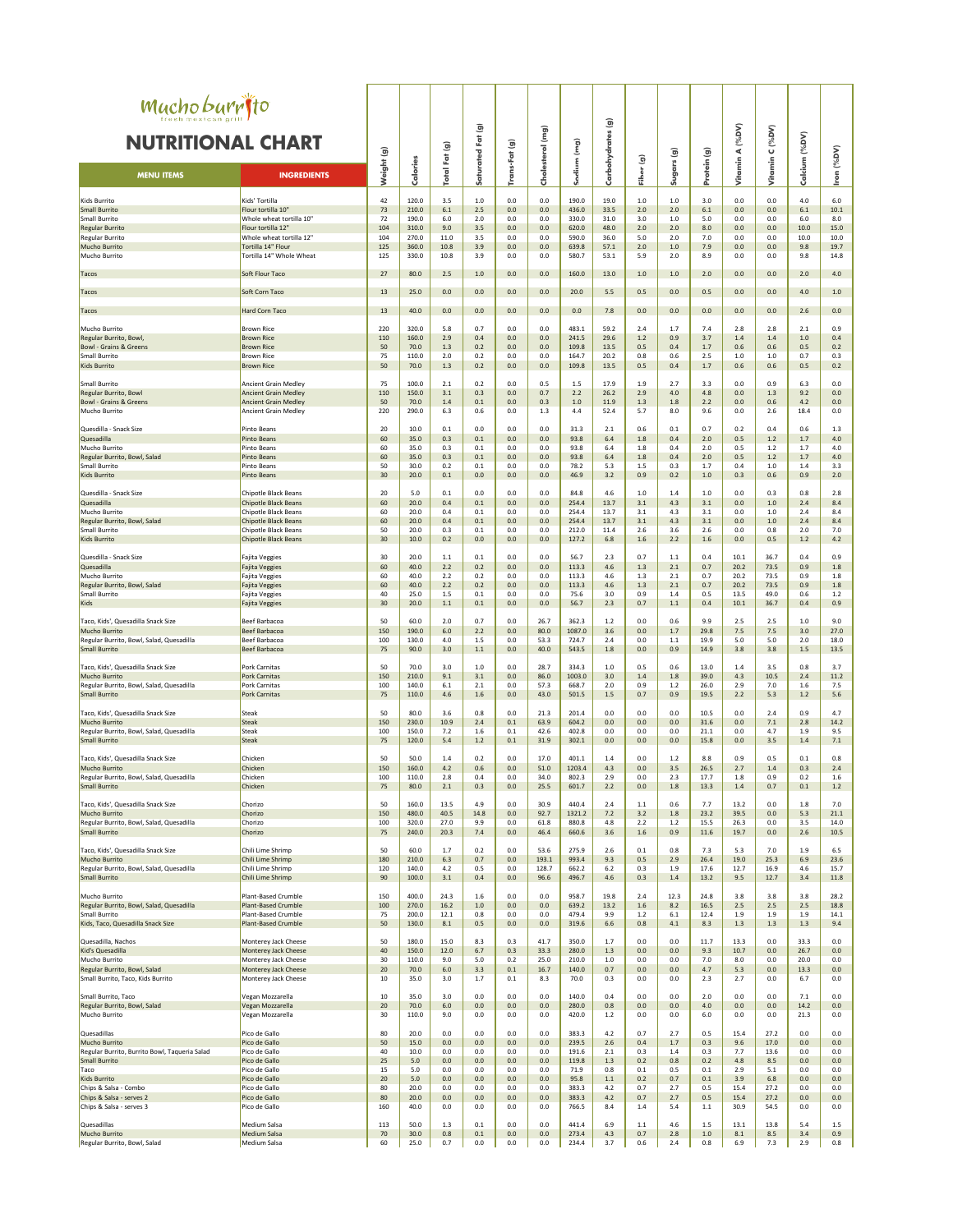| Mucho burrito<br><b>NUTRITIONAL CHART</b>                             |                                                            |                                  |                | $\widehat{\mathbf{g}}$ | $\widehat{\mathbf{g}}$<br>$\overline{\overline{6}}$<br>ЕĚ<br>ъ | $\widehat{\mathbf{e}}$ | $\widehat{\mathbf{d}}$<br>$\tilde{\epsilon}$ | $\overline{g}$  | $\widehat{\mathbf{g}}$<br>ohydrate |                        | $\widehat{\mathbf{g}}$ | $\widehat{\mathbf{g}}$ | $(Vd\gamma_0)$<br>∢ | $(Vd\gamma_0)$<br>$\bullet$ | $(Vd^{\circ}\delta)$ |              |
|-----------------------------------------------------------------------|------------------------------------------------------------|----------------------------------|----------------|------------------------|----------------------------------------------------------------|------------------------|----------------------------------------------|-----------------|------------------------------------|------------------------|------------------------|------------------------|---------------------|-----------------------------|----------------------|--------------|
| <b>MENU ITEMS</b>                                                     | <b>INGREDIENTS</b>                                         | $\widehat{\mathbf{g}}$<br>Weight | Calories       | Fat<br><b>otal</b>     | ě<br>B<br>급                                                    | <b>Is-Fat</b>          | <sup>d</sup><br><b>Chole:</b>                | Sodium          | arbi                               | $\widehat{\mathbf{g}}$ | ъ                      | oteil                  | Vitamin             | Vitamin                     | Calcium              | $(Vd\gamma)$ |
|                                                                       |                                                            |                                  |                |                        | <b>in</b>                                                      | Tran                   |                                              |                 | Ŭ                                  | Fiber                  | <b>၁</b><br>Ū          | å                      |                     |                             |                      | <b>Iron</b>  |
| <b>Kids Burrito</b><br><b>Small Burrito</b>                           | Kids' Tortilla<br>Flour tortilla 10"                       | 42<br>73                         | 120.0<br>210.0 | 3.5<br>6.1             | 1.0<br>2.5                                                     | 0.0<br>0.0             | 0.0<br>0.0                                   | 190.0<br>436.0  | 19.0<br>33.5                       | 1.0<br>2.0             | 1.0<br>2.0             | 3.0<br>6.1             | 0.0<br>0.0          | 0.0<br>0.0                  | 4.0<br>6.1           | 6.0<br>10.1  |
| <b>Small Burrito</b>                                                  | Whole wheat tortilla 10"                                   | 72                               | 190.0          | 6.0                    | 2.0                                                            | 0.0                    | 0.0                                          | 330.0           | 31.0                               | 3.0                    | 1.0                    | 5.0                    | 0.0                 | 0.0                         | 6.0                  | 8.0          |
| <b>Regular Burrito</b><br><b>Regular Burrito</b>                      | Flour tortilla 12"<br>Whole wheat tortilla 12"             | 104<br>104                       | 310.0<br>270.0 | 9.0<br>11.0            | 3.5<br>3.5                                                     | 0.0<br>0.0             | 0.0<br>0.0                                   | 620.0<br>590.0  | 48.0<br>36.0                       | 2.0<br>5.0             | 2.0<br>2.0             | 8.0<br>7.0             | 0.0<br>0.0          | 0.0<br>0.0                  | 10.0<br>10.0         | 15.0<br>10.0 |
| Mucho Burrito                                                         | Tortilla 14" Flour                                         | 125                              | 360.0          | 10.8                   | 3.9                                                            | 0.0                    | 0.0                                          | 639.8           | 57.1                               | 2.0                    | 1.0                    | 7.9                    | 0.0                 | 0.0                         | 9.8                  | 19.7         |
| Mucho Burrito                                                         | Tortilla 14" Whole Wheat                                   | 125                              | 330.0          | 10.8                   | 3.9                                                            | 0.0                    | 0.0                                          | 580.7           | 53.1                               | 5.9                    | 2.0                    | 8.9                    | 0.0                 | 0.0                         | 9.8                  | 14.8         |
| <b>Tacos</b>                                                          | Soft Flour Taco                                            | 27                               | 80.0           | 2.5                    | 1.0                                                            | 0.0                    | 0.0                                          | 160.0           | 13.0                               | 1.0                    | 1.0                    | 2.0                    | 0.0                 | 0.0                         | 2.0                  | 4.0          |
| <b>Tacos</b>                                                          | Soft Corn Taco                                             | 13                               | 25.0           | 0.0                    | 0.0                                                            | 0.0                    | 0.0                                          | 20.0            | 5.5                                | 0.5                    | 0.0                    | 0.5                    | 0.0                 | 0.0                         | 4.0                  | 1.0          |
|                                                                       |                                                            |                                  |                |                        |                                                                |                        |                                              |                 |                                    |                        |                        |                        |                     |                             |                      |              |
| <b>Tacos</b>                                                          | <b>Hard Corn Taco</b>                                      | 13                               | 40.0           | 0.0                    | 0.0                                                            | 0.0                    | 0.0                                          | 0.0             | 7.8                                | 0.0                    | 0.0                    | 0.0                    | 0.0                 | 0.0                         | 2.6                  | 0.0          |
| Mucho Burrito                                                         | <b>Brown Rice</b>                                          | 220                              | 320.0          | 5.8                    | 0.7                                                            | 0.0                    | 0.0                                          | 483.1           | 59.2                               | 2.4                    | 1.7                    | 7.4                    | 2.8                 | 2.8                         | 2.1                  | 0.9          |
| Regular Burrito, Bowl,<br><b>Bowl - Grains &amp; Greens</b>           | <b>Brown Rice</b><br><b>Brown Rice</b>                     | 110<br>50                        | 160.0<br>70.0  | 2.9<br>1.3             | 0.4<br>0.2                                                     | 0.0<br>0.0             | 0.0<br>0.0                                   | 241.5<br>109.8  | 29.6<br>13.5                       | 1.2<br>0.5             | 0.9<br>0.4             | 3.7<br>1.7             | 1.4<br>0.6          | 1.4<br>0.6                  | 1.0<br>0.5           | 0.4<br>0.2   |
| <b>Small Burrito</b>                                                  | <b>Brown Rice</b>                                          | 75                               | 110.0          | 2.0                    | 0.2                                                            | 0.0                    | 0.0                                          | 164.7           | 20.2                               | 0.8                    | 0.6                    | 2.5                    | 1.0                 | 1.0                         | 0.7                  | 0.3          |
| Kids Burrito                                                          | <b>Brown Rice</b>                                          | 50                               | 70.0           | 1.3                    | 0.2                                                            | 0.0                    | 0.0                                          | 109.8           | 13.5                               | 0.5                    | 0.4                    | 1.7                    | 0.6                 | 0.6                         | 0.5                  | 0.2          |
| <b>Small Burrito</b><br><b>Regular Burrito, Bowl</b>                  | <b>Ancient Grain Medley</b>                                | 75                               | 100.0<br>150.0 | 2.1<br>3.1             | 0.2                                                            | 0.0                    | 0.5                                          | 1.5<br>2.2      | 17.9<br>26.2                       | 1.9<br>2.9             | 2.7                    | 3.3<br>4.8             | 0.0<br>0.0          | 0.9                         | 6.3<br>9.2           | 0.0<br>0.0   |
| <b>Bowl - Grains &amp; Greens</b>                                     | <b>Ancient Grain Medley</b><br><b>Ancient Grain Medley</b> | 110<br>50                        | 70.0           | 1.4                    | 0.3<br>0.1                                                     | 0.0<br>0.0             | 0.7<br>0.3                                   | 1.0             | 11.9                               | 1.3                    | 4.0<br>1.8             | 2.2                    | 0.0                 | 1.3<br>0.6                  | 4.2                  | 0.0          |
| Mucho Burrito                                                         | <b>Ancient Grain Medley</b>                                | 220                              | 290.0          | 6.3                    | 0.6                                                            | 0.0                    | 1.3                                          | 4.4             | 52.4                               | 5.7                    | 8.0                    | 9.6                    | 0.0                 | 2.6                         | 18.4                 | 0.0          |
| Quesdilla - Snack Size                                                | Pinto Beans                                                | 20                               | 10.0           | 0.1                    | 0.0                                                            | 0.0                    | 0.0                                          | 31.3            | 2.1                                | 0.6                    | 0.1                    | 0.7                    | 0.2                 | 0.4                         | 0.6                  | 1.3          |
| Quesadilla<br>Mucho Burrito                                           | <b>Pinto Beans</b><br>Pinto Beans                          | 60<br>60                         | 35.0<br>35.0   | 0.3<br>0.3             | 0.1<br>0.1                                                     | 0.0<br>0.0             | 0.0<br>0.0                                   | 93.8<br>93.8    | 6.4<br>6.4                         | 1.8<br>1.8             | 0.4<br>0.4             | 2.0<br>2.0             | 0.5<br>0.5          | 1.2<br>1.2                  | 1.7<br>1.7           | 4.0<br>4.0   |
| Regular Burrito, Bowl, Salad                                          | <b>Pinto Beans</b>                                         | 60                               | 35.0           | 0.3                    | 0.1                                                            | 0.0                    | 0.0                                          | 93.8            | 6.4                                | 1.8                    | 0.4                    | 2.0                    | 0.5                 | 1.2                         | 1.7                  | 4.0          |
| Small Burrito<br><b>Kids Burrito</b>                                  | Pinto Beans<br><b>Pinto Beans</b>                          | 50<br>30 <sup>°</sup>            | 30.0<br>20.0   | 0.2<br>0.1             | 0.1<br>0.0                                                     | 0.0<br>0.0             | 0.0<br>0.0                                   | 78.2<br>46.9    | 5.3<br>3.2                         | 1.5<br>0.9             | 0.3<br>0.2             | 1.7<br>1.0             | 0.4<br>0.3          | 1.0<br>0.6                  | 1.4<br>0.9           | 3.3<br>2.0   |
|                                                                       |                                                            |                                  |                |                        |                                                                |                        |                                              |                 |                                    |                        |                        |                        |                     |                             |                      |              |
| Quesdilla - Snack Size<br>Quesadilla                                  | <b>Chipotle Black Beans</b><br><b>Chipotle Black Beans</b> | 20<br>60                         | 5.0<br>20.0    | 0.1<br>0.4             | 0.0<br>0.1                                                     | 0.0<br>0.0             | 0.0<br>0.0                                   | 84.8<br>254.4   | 4.6<br>13.7                        | 1.0<br>3.1             | 1.4<br>4.3             | 1.0<br>3.1             | 0.0<br>0.0          | 0.3<br>1.0                  | 0.8<br>2.4           | 2.8<br>8.4   |
| Mucho Burrito                                                         | Chipotle Black Beans                                       | 60                               | 20.0           | 0.4                    | 0.1                                                            | 0.0                    | 0.0                                          | 254.4           | 13.7                               | 3.1                    | 4.3                    | 3.1                    | 0.0                 | 1.0                         | 2.4                  | 8.4          |
| Regular Burrito, Bowl, Salad<br><b>Small Burrito</b>                  | <b>Chipotle Black Beans</b><br>Chipotle Black Beans        | 60<br>50                         | 20.0<br>20.0   | 0.4<br>0.3             | 0.1<br>0.1                                                     | 0.0<br>0.0             | 0.0<br>0.0                                   | 254.4<br>212.0  | 13.7<br>11.4                       | 3.1<br>2.6             | 4.3<br>3.6             | 3.1<br>2.6             | 0.0<br>0.0          | 1.0<br>0.8                  | 2.4<br>2.0           | 8.4<br>7.0   |
| <b>Kids Burrito</b>                                                   | <b>Chipotle Black Beans</b>                                | 30                               | 10.0           | 0.2                    | 0.0                                                            | 0.0                    | 0.0                                          | 127.2           | 6.8                                | 1.6                    | 2.2                    | 1.6                    | 0.0                 | 0.5                         | 1.2                  | 4.2          |
| Quesdilla - Snack Size                                                | Fajita Veggies                                             | 30                               | 20.0           | 1.1                    | 0.1                                                            | 0.0                    | 0.0                                          | 56.7            | 2.3                                | 0.7                    | 1.1                    | 0.4                    | 10.1                | 36.7                        | 0.4                  | 0.9          |
| Quesadilla                                                            | Fajita Veggies                                             | 60                               | 40.0           | 2.2                    | 0.2                                                            | 0.0                    | 0.0                                          | 113.3           | 4.6                                | 1.3                    | 2.1                    | 0.7                    | 20.2                | 73.5                        | 0.9                  | 1.8          |
| Mucho Burrito<br>Regular Burrito, Bowl, Salad                         | Fajita Veggies<br>Fajita Veggies                           | 60<br>60                         | 40.0<br>40.0   | 2.2<br>2.2             | 0.2<br>0.2                                                     | 0.0<br>0.0             | 0.0<br>0.0                                   | 113.3<br>113.3  | 4.6<br>4.6                         | 1.3<br>1.3             | 2.1<br>2.1             | 0.7<br>0.7             | 20.2<br>20.2        | 73.5<br>73.5                | 0.9<br>0.9           | 1.8<br>1.8   |
| <b>Small Burrito</b><br><b>Kids</b>                                   | Fajita Veggies<br>Fajita Veggies                           | 40<br>30 <sup>°</sup>            | 25.0<br>20.0   | 1.5<br>1.1             | 0.1<br>0.1                                                     | 0.0<br>0.0             | 0.0<br>0.0                                   | 75.6<br>56.7    | 3.0<br>2.3                         | 0.9<br>0.7             | 1.4<br>1.1             | 0.5<br>0.4             | 13.5<br>10.1        | 49.0<br>36.7                | 0.6<br>0.4           | 1.2<br>0.9   |
|                                                                       |                                                            |                                  |                |                        |                                                                |                        |                                              |                 |                                    |                        |                        |                        |                     |                             |                      |              |
| Taco, Kids', Quesadilla Snack Size<br><b>Mucho Burrito</b>            | <b>Beef Barbacoa</b><br><b>Beef Barbacoa</b>               | 50<br>150                        | 60.0<br>190.0  | 2.0<br>6.0             | 0.7<br>2.2                                                     | 0.0<br>0.0             | 26.7<br>80.0                                 | 362.3<br>1087.0 | 1.2<br>3.6                         | 0.0<br>0.0             | 0.6<br>1.7             | 9.9<br>29.8            | 2.5<br>7.5          | 2.5<br>7.5                  | 1.0<br>3.0           | 9.0<br>27.0  |
| Regular Burrito, Bowl, Salad, Quesadilla                              | Beef Barbacoa                                              | 100                              | 130.0          | 4.0                    | 1.5                                                            | 0.0                    | 53.3                                         | 724.7           | 2.4                                | 0.0                    | 1.1                    | 19.9                   | 5.0                 | 5.0                         | 2.0                  | 18.0         |
| <b>Small Burrito</b>                                                  | Beef Barbacoa                                              | 75                               | 90.0           | 3.0                    | 1.1                                                            | 0.0                    | 40.0                                         | 543.5           | 1.8                                | 0.0                    | 0.9                    | 14.9                   | 3.8                 | 3.8                         | 1.5                  | 13.5         |
| Taco, Kids', Quesadilla Snack Size                                    | <b>Pork Carnitas</b>                                       | 50                               | 70.0           | 3.0                    | 1.0                                                            | 0.0                    | 28.7                                         | 334.3           | 1.0                                | 0.5                    | 0.6                    | 13.0                   | 1.4                 | 3.5                         | 0.8                  | 3.7          |
| <b>Mucho Burrito</b><br>Regular Burrito, Bowl, Salad, Quesadilla      | <b>Pork Carnitas</b><br>Pork Carnitas                      | 150<br>100                       | 210.0<br>140.0 | 9.1<br>6.1             | 3.1<br>2.1                                                     | 0.0<br>0.0             | 86.0<br>57.3                                 | 1003.0<br>668.7 | 3.0<br>2.0                         | 1.4<br>0.9             | 1.8<br>1.2             | 39.0<br>26.0           | 4.3<br>2.9          | 10.5<br>7.0                 | 2.4<br>1.6           | 11.2<br>7.5  |
| Small Burrito                                                         | <b>Pork Carnitas</b>                                       | 75                               | 110.0          | 4.6                    | 1.6                                                            | 0.0                    | 43.0                                         | 501.5           | 1.5                                | 0.7                    | 0.9                    | 19.5                   | 2.2                 | 5.3                         | 1.2                  | 5.6          |
| Taco, Kids', Quesadilla Snack Size                                    | Steak                                                      | 50                               | 80.0           | 3.6                    | 0.8                                                            | 0.0                    | 21.3                                         | 201.4           | 0.0                                | 0.0                    | 0.0                    | 10.5                   | 0.0                 | 2.4                         | 0.9                  | 4.7          |
| <b>Mucho Burrito</b>                                                  | Steak                                                      | 150                              | 230.0          | 10.9                   | 2.4                                                            | 0.1                    | 63.9                                         | 604.2           | 0.0                                | 0.0                    | 0.0                    | 31.6                   | 0.0                 | 7.1                         | 2.8                  | 14.2         |
| Regular Burrito, Bowl, Salad, Quesadilla<br><b>Small Burrito</b>      | Steak<br>Steak                                             | 100<br>75                        | 150.0<br>120.0 | 7.2<br>5.4             | 1.6<br>1.2                                                     | 0.1<br>0.1             | 42.6<br>31.9                                 | 402.8<br>302.1  | 0.0<br>0.0                         | 0.0<br>0.0             | 0.0<br>0.0             | 21.1<br>15.8           | 0.0<br>0.0          | 4.7<br>3.5                  | 1.9<br>1.4           | 9.5<br>7.1   |
|                                                                       |                                                            |                                  |                |                        |                                                                |                        |                                              |                 |                                    |                        |                        |                        |                     |                             |                      |              |
| Taco, Kids', Quesadilla Snack Size<br><b>Mucho Burrito</b>            | Chicken<br>Chicken                                         | 50<br>150                        | 50.0<br>160.0  | 1.4<br>4.2             | 0.2<br>0.6                                                     | 0.0<br>0.0             | 17.0<br>51.0                                 | 401.1<br>1203.4 | 1.4<br>4.3                         | 0.0<br>0.0             | 1.2<br>3.5             | 8.8<br>26.5            | 0.9<br>2.7          | 0.5<br>1.4                  | 0.1<br>0.3           | 0.8<br>2.4   |
| Regular Burrito, Bowl, Salad, Quesadilla<br>Small Burrito             | Chicken<br><b>Chicken</b>                                  | 100                              | 110.0<br>80.0  | 2.8                    | 0.4<br>0.3                                                     | 0.0<br>0.0             | 34.0                                         | 802.3           | 2.9                                | 0.0<br>0.0             | 2.3<br>1.8             | 17.7<br>13.3           | 1.8                 | 0.9                         | 0.2                  | 1.6<br>1.2   |
|                                                                       |                                                            | 75                               |                | 2.1                    |                                                                |                        | 25.5                                         | 601.7           | 2.2                                |                        |                        |                        | 1.4                 | 0.7                         | 0.1                  |              |
| Taco, Kids', Quesadilla Snack Size<br><b>Mucho Burrito</b>            | Chorizo<br>Chorizo                                         | 50<br>150                        | 160.0<br>480.0 | 13.5<br>40.5           | 4.9<br>14.8                                                    | 0.0<br>0.0             | 30.9<br>92.7                                 | 440.4<br>1321.2 | 2.4<br>7.2                         | 1.1<br>3.2             | 0.6<br>1.8             | 7.7<br>23.2            | 13.2<br>39.5        | 0.0<br>0.0                  | 1.8<br>5.3           | 7.0<br>21.1  |
| Regular Burrito, Bowl, Salad, Quesadilla                              | Chorizo                                                    | 100                              | 320.0          | 27.0                   | 9.9                                                            | 0.0                    | 61.8                                         | 880.8           | 4.8                                | 2.2                    | 1.2                    | 15.5                   | 26.3                | 0.0                         | 3.5                  | 14.0         |
| <b>Small Burrito</b>                                                  | Chorizo                                                    | 75                               | 240.0          | 20.3                   | 7.4                                                            | 0.0                    | 46.4                                         | 660.6           | 3.6                                | 1.6                    | 0.9                    | 11.6                   | 19.7                | 0.0                         | 2.6                  | 10.5         |
| Taco, Kids', Quesadilla Snack Size                                    | Chili Lime Shrimp                                          | 50                               | 60.0           | 1.7                    | 0.2                                                            | 0.0                    | 53.6                                         | 275.9           | 2.6                                | 0.1                    | 0.8                    | 7.3                    | 5.3                 | 7.0                         | 1.9                  | 6.5          |
| <b>Mucho Burrito</b><br>Regular Burrito, Bowl, Salad, Quesadilla      | Chili Lime Shrimp<br>Chili Lime Shrimp                     | 180<br>120                       | 210.0<br>140.0 | 6.3<br>4.2             | 0.7<br>0.5                                                     | 0.0<br>0.0             | 193.1<br>128.7                               | 993.4<br>662.2  | 9.3<br>$6.2$                       | 0.5<br>0.3             | 2.9<br>1.9             | 26.4<br>17.6           | 19.0<br>12.7        | 25.3<br>16.9                | 6.9<br>4.6           | 23.6<br>15.7 |
| Small Burrito                                                         | Chili Lime Shrimp                                          | 90                               | 100.0          | 3.1                    | 0.4                                                            | 0.0                    | 96.6                                         | 496.7           | 4.6                                | 0.3                    | 1.4                    | 13.2                   | 9.5                 | 12.7                        | 3.4                  | 11.8         |
| <b>Mucho Burrito</b>                                                  | <b>Plant-Based Crumble</b>                                 | 150                              | 400.0          | 24.3                   | 1.6                                                            | 0.0                    | 0.0                                          | 958.7           | 19.8                               | 2.4                    | 12.3                   | 24.8                   | 3.8                 | 3.8                         | 3.8                  | 28.2         |
| Regular Burrito, Bowl, Salad, Quesadilla                              | <b>Plant-Based Crumble</b>                                 | 100                              | 270.0          | 16.2                   | 1.0                                                            | 0.0                    | 0.0                                          | 639.2           | 13.2                               | 1.6                    | 8.2                    | 16.5                   | 2.5                 | 2.5                         | 2.5                  | 18.8         |
| <b>Small Burrito</b><br>Kids, Taco, Quesadilla Snack Size             | <b>Plant-Based Crumble</b><br><b>Plant-Based Crumble</b>   | 75<br>50                         | 200.0<br>130.0 | 12.1<br>8.1            | 0.8<br>0.5                                                     | 0.0<br>0.0             | 0.0<br>0.0                                   | 479.4<br>319.6  | 9.9<br>6.6                         | 1.2<br>0.8             | 6.1<br>4.1             | 12.4<br>8.3            | 1.9<br>1.3          | 1.9<br>1.3                  | 1.9<br>1.3           | 14.1<br>9.4  |
|                                                                       |                                                            |                                  |                |                        |                                                                |                        |                                              |                 |                                    |                        |                        |                        |                     |                             |                      |              |
| Quesadilla, Nachos<br>Kid's Quesadilla                                | Monterey Jack Cheese<br>Monterey Jack Cheese               | 50<br>40                         | 180.0<br>150.0 | 15.0<br>12.0           | 8.3<br>6.7                                                     | 0.3<br>0.3             | 41.7<br>33.3                                 | 350.0<br>280.0  | 1.7<br>1.3                         | 0.0<br>0.0             | 0.0<br>0.0             | 11.7<br>9.3            | 13.3<br>10.7        | 0.0<br>0.0                  | 33.3<br>26.7         | 0.0<br>0.0   |
| Mucho Burrito                                                         | Monterey Jack Cheese                                       | 30                               | 110.0<br>70.0  | 9.0                    | 5.0                                                            | 0.2                    | 25.0                                         | 210.0           | 1.0<br>0.7                         | 0.0                    | 0.0                    | 7.0<br>4.7             | 8.0                 | 0.0                         | 20.0                 | 0.0          |
| Regular Burrito, Bowl, Salad<br>Small Burrito, Taco, Kids Burrito     | Monterey Jack Cheese<br>Monterey Jack Cheese               | 20<br>10                         | 35.0           | 6.0<br>3.0             | 3.3<br>1.7                                                     | 0.1<br>0.1             | 16.7<br>8.3                                  | 140.0<br>70.0   | 0.3                                | 0.0<br>0.0             | 0.0<br>0.0             | 2.3                    | 5.3<br>2.7          | 0.0<br>0.0                  | 13.3<br>6.7          | 0.0<br>0.0   |
| Small Burrito, Taco                                                   | Vegan Mozzarella                                           | 10                               | 35.0           | 3.0                    | 0.0                                                            | 0.0                    | 0.0                                          | 140.0           | 0.4                                | 0.0                    | 0.0                    | 2.0                    | 0.0                 | 0.0                         | 7.1                  | 0.0          |
| Regular Burrito, Bowl, Salad                                          | Vegan Mozzarella                                           | 20                               | 70.0           | 6.0                    | 0.0                                                            | 0.0                    | 0.0                                          | 280.0           | 0.8                                | 0.0                    | 0.0                    | 4.0                    | 0.0                 | 0.0                         | 14.2                 | 0.0          |
| Mucho Burrito                                                         | Vegan Mozzarella                                           | 30                               | 110.0          | 9.0                    | 0.0                                                            | 0.0                    | 0.0                                          | 420.0           | 1.2                                | 0.0                    | 0.0                    | 6.0                    | 0.0                 | 0.0                         | 21.3                 | 0.0          |
| <b>Quesadillas</b>                                                    | Pico de Gallo                                              | 80                               | 20.0           | 0.0                    | 0.0                                                            | 0.0                    | 0.0                                          | 383.3           | 4.2                                | 0.7                    | 2.7                    | 0.5                    | 15.4                | 27.2                        | 0.0                  | 0.0          |
| <b>Mucho Burrito</b><br>Regular Burrito, Burrito Bowl, Taqueria Salad | Pico de Gallo<br>Pico de Gallo                             | 50<br>40                         | 15.0<br>10.0   | 0.0<br>0.0             | 0.0<br>0.0                                                     | 0.0<br>0.0             | 0.0<br>0.0                                   | 239.5<br>191.6  | 2.6<br>2.1                         | 0.4<br>0.3             | 1.7<br>1.4             | 0.3<br>0.3             | 9.6<br>7.7          | 17.0<br>13.6                | 0.0<br>0.0           | 0.0<br>0.0   |
| Small Burrito                                                         | Pico de Gallo                                              | 25                               | 5.0            | 0.0                    | 0.0                                                            | 0.0                    | 0.0                                          | 119.8           | 1.3                                | 0.2                    | 0.8                    | 0.2                    | 4.8                 | 8.5                         | 0.0                  | 0.0          |
| Taco<br><b>Kids Burrito</b>                                           | Pico de Gallo<br>Pico de Gallo                             | 15<br>20                         | 5.0<br>5.0     | 0.0<br>0.0             | 0.0<br>0.0                                                     | 0.0<br>0.0             | 0.0<br>0.0                                   | 71.9<br>95.8    | 0.8<br>1.1                         | 0.1<br>0.2             | 0.5<br>0.7             | 0.1<br>0.1             | 2.9<br>3.9          | 5.1<br>6.8                  | 0.0<br>0.0           | 0.0<br>0.0   |
| Chips & Salsa - Combo                                                 | Pico de Gallo                                              | 80                               | 20.0           | 0.0                    | 0.0                                                            | 0.0                    | 0.0                                          | 383.3           | 4.2                                | 0.7                    | 2.7                    | 0.5                    | 15.4                | 27.2                        | 0.0                  | 0.0          |
| Chips & Salsa - serves 2<br>Chips & Salsa - serves 3                  | Pico de Gallo<br>Pico de Gallo                             | 80<br>160                        | 20.0<br>40.0   | 0.0<br>0.0             | 0.0<br>0.0                                                     | 0.0<br>0.0             | 0.0<br>0.0                                   | 383.3<br>766.5  | 4.2<br>8.4                         | 0.7<br>1.4             | 2.7<br>5.4             | 0.5<br>1.1             | 15.4<br>30.9        | 27.2<br>54.5                | 0.0<br>0.0           | 0.0<br>0.0   |
|                                                                       |                                                            |                                  |                |                        |                                                                |                        |                                              |                 |                                    |                        |                        |                        |                     |                             |                      |              |
| Quesadillas<br><b>Mucho Burrito</b>                                   | Medium Salsa<br>Medium Salsa                               | 113<br>70                        | 50.0<br>30.0   | 1.3<br>0.8             | 0.1<br>0.1                                                     | 0.0<br>0.0             | 0.0<br>0.0                                   | 441.4<br>273.4  | 6.9<br>4.3                         | 1.1<br>0.7             | 4.6<br>2.8             | 1.5<br>1.0             | 13.1<br>8.1         | 13.8<br>8.5                 | 5.4<br>3.4           | 1.5<br>0.9   |
| Regular Burrito, Bowl, Salad                                          | Medium Salsa                                               | 60                               | 25.0           | 0.7                    | 0.0                                                            | 0.0                    | 0.0                                          | 234.4           | 3.7                                | 0.6                    | 2.4                    | 0.8                    | 6.9                 | 7.3                         | 2.9                  | 0.8          |